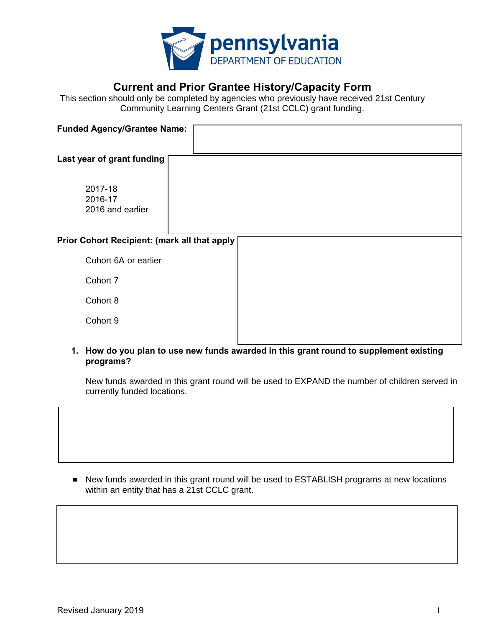

## **Current and Prior Grantee History/Capacity Form**

This section should only be completed by agencies who previously have received 21st Century Community Learning Centers Grant (21st CCLC) grant funding.

| <b>Funded Agency/Grantee Name:</b>           |  |
|----------------------------------------------|--|
|                                              |  |
| Last year of grant funding                   |  |
| 2017-18<br>2016-17<br>2016 and earlier       |  |
| Prior Cohort Recipient: (mark all that apply |  |
| Cohort 6A or earlier                         |  |
| Cohort 7                                     |  |
| Cohort 8                                     |  |
| Cohort 9                                     |  |
|                                              |  |

**1. How do you plan to use new funds awarded in this grant round to supplement existing programs?**

New funds awarded in this grant round will be used to EXPAND the number of children served in currently funded locations.

■ New funds awarded in this grant round will be used to ESTABLISH programs at new locations within an entity that has a 21st CCLC grant.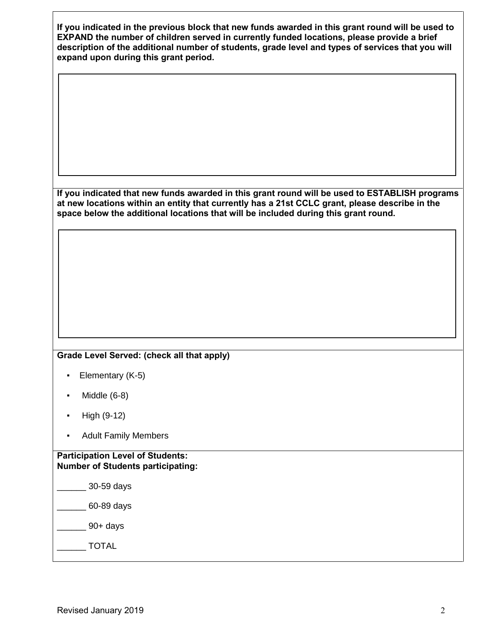| If you indicated in the previous block that new funds awarded in this grant round will be used to<br>EXPAND the number of children served in currently funded locations, please provide a brief<br>description of the additional number of students, grade level and types of services that you will<br>expand upon during this grant period.<br>If you indicated that new funds awarded in this grant round will be used to ESTABLISH programs<br>at new locations within an entity that currently has a 21st CCLC grant, please describe in the<br>space below the additional locations that will be included during this grant round.<br>Grade Level Served: (check all that apply)<br>Elementary (K-5)<br>٠<br>Middle (6-8)<br>٠<br>High (9-12)<br>٠ |  |
|----------------------------------------------------------------------------------------------------------------------------------------------------------------------------------------------------------------------------------------------------------------------------------------------------------------------------------------------------------------------------------------------------------------------------------------------------------------------------------------------------------------------------------------------------------------------------------------------------------------------------------------------------------------------------------------------------------------------------------------------------------|--|
|                                                                                                                                                                                                                                                                                                                                                                                                                                                                                                                                                                                                                                                                                                                                                          |  |
|                                                                                                                                                                                                                                                                                                                                                                                                                                                                                                                                                                                                                                                                                                                                                          |  |
|                                                                                                                                                                                                                                                                                                                                                                                                                                                                                                                                                                                                                                                                                                                                                          |  |
|                                                                                                                                                                                                                                                                                                                                                                                                                                                                                                                                                                                                                                                                                                                                                          |  |
|                                                                                                                                                                                                                                                                                                                                                                                                                                                                                                                                                                                                                                                                                                                                                          |  |
|                                                                                                                                                                                                                                                                                                                                                                                                                                                                                                                                                                                                                                                                                                                                                          |  |
|                                                                                                                                                                                                                                                                                                                                                                                                                                                                                                                                                                                                                                                                                                                                                          |  |
|                                                                                                                                                                                                                                                                                                                                                                                                                                                                                                                                                                                                                                                                                                                                                          |  |
|                                                                                                                                                                                                                                                                                                                                                                                                                                                                                                                                                                                                                                                                                                                                                          |  |
|                                                                                                                                                                                                                                                                                                                                                                                                                                                                                                                                                                                                                                                                                                                                                          |  |
|                                                                                                                                                                                                                                                                                                                                                                                                                                                                                                                                                                                                                                                                                                                                                          |  |
|                                                                                                                                                                                                                                                                                                                                                                                                                                                                                                                                                                                                                                                                                                                                                          |  |
|                                                                                                                                                                                                                                                                                                                                                                                                                                                                                                                                                                                                                                                                                                                                                          |  |
|                                                                                                                                                                                                                                                                                                                                                                                                                                                                                                                                                                                                                                                                                                                                                          |  |
|                                                                                                                                                                                                                                                                                                                                                                                                                                                                                                                                                                                                                                                                                                                                                          |  |
| <b>Adult Family Members</b>                                                                                                                                                                                                                                                                                                                                                                                                                                                                                                                                                                                                                                                                                                                              |  |
| <b>Participation Level of Students:</b><br><b>Number of Students participating:</b>                                                                                                                                                                                                                                                                                                                                                                                                                                                                                                                                                                                                                                                                      |  |
| 30-59 days                                                                                                                                                                                                                                                                                                                                                                                                                                                                                                                                                                                                                                                                                                                                               |  |
| 60-89 days                                                                                                                                                                                                                                                                                                                                                                                                                                                                                                                                                                                                                                                                                                                                               |  |
| $90+$ days                                                                                                                                                                                                                                                                                                                                                                                                                                                                                                                                                                                                                                                                                                                                               |  |
| <b>TOTAL</b>                                                                                                                                                                                                                                                                                                                                                                                                                                                                                                                                                                                                                                                                                                                                             |  |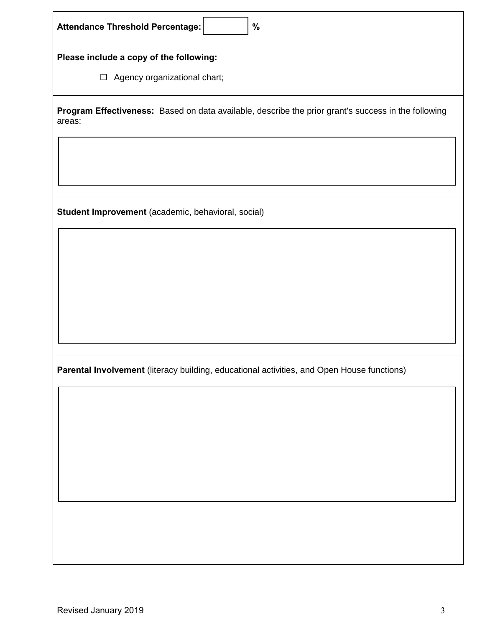| Attendance Threshold Percentage:<br>$\%$                                                                      |  |  |
|---------------------------------------------------------------------------------------------------------------|--|--|
| Please include a copy of the following:                                                                       |  |  |
| $\Box$ Agency organizational chart;                                                                           |  |  |
| Program Effectiveness: Based on data available, describe the prior grant's success in the following<br>areas: |  |  |
|                                                                                                               |  |  |
|                                                                                                               |  |  |
| Student Improvement (academic, behavioral, social)                                                            |  |  |
|                                                                                                               |  |  |
|                                                                                                               |  |  |
|                                                                                                               |  |  |
| Parental Involvement (literacy building, educational activities, and Open House functions)                    |  |  |
|                                                                                                               |  |  |
|                                                                                                               |  |  |
|                                                                                                               |  |  |
|                                                                                                               |  |  |
|                                                                                                               |  |  |